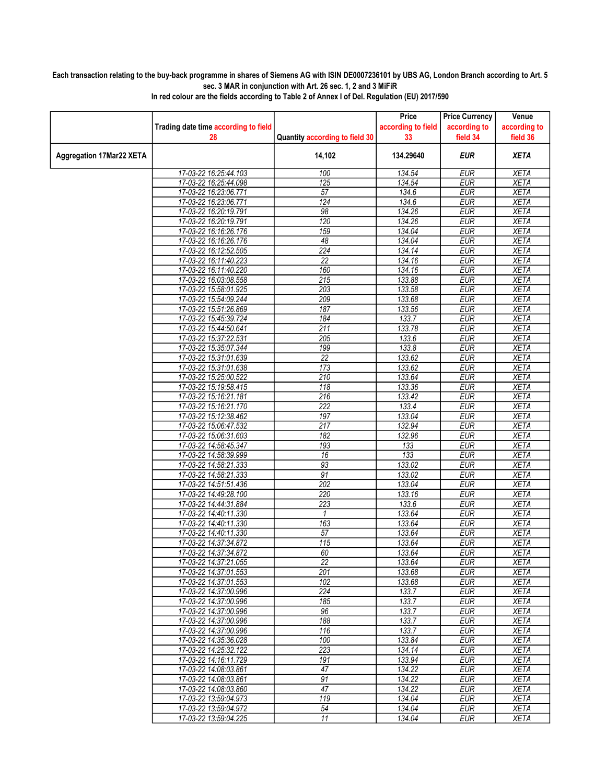## Each transaction relating to the buy-back programme in shares of Siemens AG with ISIN DE0007236101 by UBS AG, London Branch according to Art. 5 sec. 3 MAR in conjunction with Art. 26 sec. 1, 2 and 3 MiFiR

|                                 |                                                |                                | Price              | <b>Price Currency</b>    | Venue                      |
|---------------------------------|------------------------------------------------|--------------------------------|--------------------|--------------------------|----------------------------|
|                                 | Trading date time according to field           |                                | according to field | according to             | according to               |
|                                 | 28                                             | Quantity according to field 30 | 33                 | field 34                 | field 36                   |
| <b>Aggregation 17Mar22 XETA</b> |                                                | 14,102                         | 134.29640          | <b>EUR</b>               | <b>XETA</b>                |
|                                 | 17-03-22 16:25:44.103                          | 100                            | 134.54             | <b>EUR</b>               | <b>XETA</b>                |
|                                 | 17-03-22 16:25:44.098                          | 125                            | 134.54             | <b>EUR</b>               | <b>XETA</b>                |
|                                 | 17-03-22 16:23:06.771                          | 57                             | 134.6              | <b>EUR</b>               | <b>XETA</b>                |
|                                 | 17-03-22 16:23:06.771                          | 124                            | 134.6              | <b>EUR</b>               | <b>XETA</b>                |
|                                 | 17-03-22 16:20:19.791                          | 98                             | 134.26             | <b>EUR</b>               | <b>XETA</b>                |
|                                 | 17-03-22 16:20:19.791                          | 120                            | 134.26             | <b>EUR</b>               | <b>XETA</b>                |
|                                 | 17-03-22 16:16:26.176                          | 159                            | 134.04             | <b>EUR</b>               | <b>XETA</b>                |
|                                 | 17-03-22 16:16:26.176                          | 48                             | 134.04             | <b>EUR</b>               | <b>XETA</b>                |
|                                 | 17-03-22 16:12:52.505                          | $\overline{224}$               | 134.14             | <b>EUR</b>               | <b>XETA</b>                |
|                                 | 17-03-22 16:11:40.223                          | $\overline{22}$                | 134.16             | <b>EUR</b>               | <b>XETA</b>                |
|                                 | 17-03-22 16:11:40.220                          | 160                            | 134.16             | <b>EUR</b>               | <b>XETA</b>                |
|                                 | 17-03-22 16:03:08.558                          | 215                            | 133.88             | <b>EUR</b>               | <b>XETA</b>                |
|                                 | 17-03-22 15:58:01.925                          | 203                            | 133.58             | <b>EUR</b>               | <b>XETA</b>                |
|                                 | 17-03-22 15:54:09.244                          | 209                            | 133.68             | <b>EUR</b>               | <b>XETA</b>                |
|                                 | 17-03-22 15:51:26.869                          | 187                            | 133.56             | <b>EUR</b>               | <b>XETA</b>                |
|                                 | 17-03-22 15:45:39.724                          | 184                            | 133.7              | <b>EUR</b>               | <b>XETA</b>                |
|                                 | 17-03-22 15:44:50.641                          | 211                            | 133.78             | <b>EUR</b>               | <b>XETA</b>                |
|                                 | 17-03-22 15:37:22.531                          | $\overline{205}$               | 133.6              | <b>EUR</b>               | <b>XETA</b>                |
|                                 | 17-03-22 15:35:07.344                          | 199                            | 133.8              | <b>EUR</b>               | <b>XETA</b>                |
|                                 | 17-03-22 15:31:01.639                          | $\overline{22}$                | 133.62             | <b>EUR</b>               | <b>XETA</b>                |
|                                 | 17-03-22 15:31:01.638                          | 173                            | 133.62             | <b>EUR</b>               | <b>XETA</b>                |
|                                 | 17-03-22 15:25:00.522                          | 210<br>118                     | 133.64<br>133.36   | <b>EUR</b>               | <b>XETA</b><br><b>XETA</b> |
|                                 | 17-03-22 15:19:58.415                          |                                |                    | <b>EUR</b>               |                            |
|                                 | 17-03-22 15:16:21.181                          | 216<br>222                     | 133.42<br>133.4    | <b>EUR</b><br><b>EUR</b> | <b>XETA</b><br><b>XETA</b> |
|                                 | 17-03-22 15:16:21.170<br>17-03-22 15:12:38.462 | 197                            | 133.04             | <b>EUR</b>               | <b>XETA</b>                |
|                                 | 17-03-22 15:06:47.532                          | 217                            | 132.94             | <b>EUR</b>               | <b>XETA</b>                |
|                                 | 17-03-22 15:06:31.603                          | 182                            | 132.96             | <b>EUR</b>               | <b>XETA</b>                |
|                                 | 17-03-22 14:58:45.347                          | 193                            | 133                | <b>EUR</b>               | <b>XETA</b>                |
|                                 | 17-03-22 14:58:39.999                          | 16                             | 133                | <b>EUR</b>               | <b>XETA</b>                |
|                                 | 17-03-22 14:58:21.333                          | 93                             | 133.02             | <b>EUR</b>               | <b>XETA</b>                |
|                                 | 17-03-22 14:58:21.333                          | 91                             | 133.02             | <b>EUR</b>               | <b>XETA</b>                |
|                                 | 17-03-22 14:51:51.436                          | 202                            | 133.04             | <b>EUR</b>               | <b>XETA</b>                |
|                                 | 17-03-22 14:49:28.100                          | 220                            | 133.16             | <b>EUR</b>               | <b>XETA</b>                |
|                                 | 17-03-22 14:44:31.884                          | 223                            | 133.6              | <b>EUR</b>               | <b>XETA</b>                |
|                                 | 17-03-22 14:40:11.330                          | 1                              | 133.64             | <b>EUR</b>               | <b>XETA</b>                |
|                                 | 17-03-22 14:40:11.330                          | 163                            | 133.64             | <b>EUR</b>               | <b>XETA</b>                |
|                                 | 17-03-22 14:40:11.330                          | 57                             | 133.64             | <b>EUR</b>               | <b>XETA</b>                |
|                                 | 17-03-22 14:37:34.872                          | 115                            | 133.64             | <b>EUR</b>               | <b>XETA</b>                |
|                                 | 17-03-22 14:37:34.872                          | 60                             | 133.64             | <b>EUR</b>               | <b>XETA</b>                |
|                                 | 17-03-22 14:37:21.055                          | 22                             | 133.64             | EUR                      | XETA                       |
|                                 | 17-03-22 14:37:01.553                          | 201                            | 133.68             | <b>EUR</b>               | <b>XETA</b>                |
|                                 | 17-03-22 14:37:01.553                          | 102                            | 133.68             | <b>EUR</b>               | <b>XETA</b>                |
|                                 | 17-03-22 14:37:00.996                          | 224                            | 133.7              | <b>EUR</b>               | <b>XETA</b>                |
|                                 | 17-03-22 14:37:00.996                          | 185                            | 133.7              | <b>EUR</b>               | <b>XETA</b>                |
|                                 | 17-03-22 14:37:00.996                          | 96                             | 133.7              | <b>EUR</b>               | <b>XETA</b>                |
|                                 | 17-03-22 14:37:00.996                          | 188                            | 133.7              | <b>EUR</b>               | <b>XETA</b>                |
|                                 | 17-03-22 14:37:00.996                          | 116                            | 133.7              | <b>EUR</b>               | <b>XETA</b>                |
|                                 | 17-03-22 14:35:36.028                          | 100                            | 133.84             | <b>EUR</b>               | <b>XETA</b>                |
|                                 | 17-03-22 14:25:32.122                          | 223                            | 134.14             | <b>EUR</b>               | <b>XETA</b>                |
|                                 | 17-03-22 14:16:11.729                          | 191                            | 133.94             | <b>EUR</b>               | <b>XETA</b>                |
|                                 | 17-03-22 14:08:03.861                          | 47                             | 134.22             | <b>EUR</b>               | <b>XETA</b>                |
|                                 | 17-03-22 14:08:03.861                          | 91                             | 134.22             | <b>EUR</b>               | <b>XETA</b>                |
|                                 | 17-03-22 14:08:03.860                          | 47                             | 134.22             | <b>EUR</b>               | <b>XETA</b>                |
|                                 | 17-03-22 13:59:04.973                          | 119                            | 134.04             | <b>EUR</b>               | <b>XETA</b>                |
|                                 | 17-03-22 13:59:04.972                          | 54                             | 134.04             | <b>EUR</b>               | <b>XETA</b>                |
|                                 | 17-03-22 13:59:04.225                          | 11                             | 134.04             | <b>EUR</b>               | <b>XETA</b>                |

In red colour are the fields according to Table 2 of Annex I of Del. Regulation (EU) 2017/590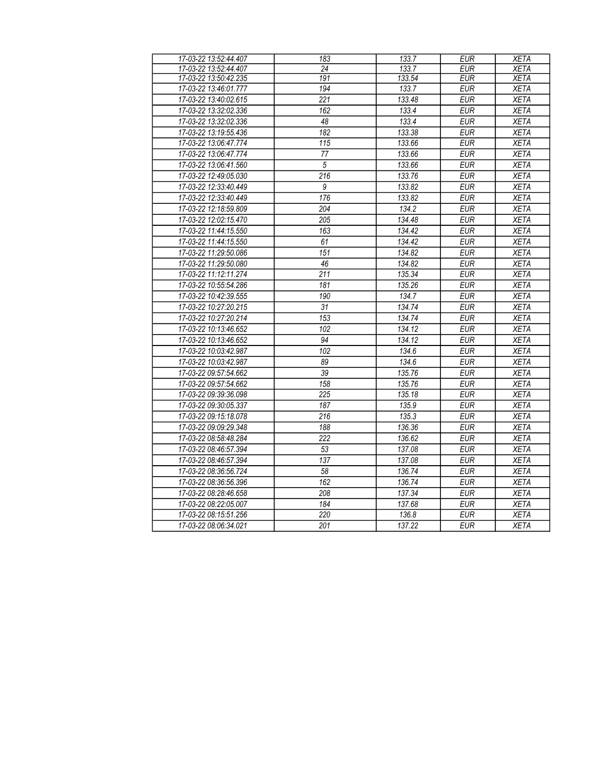| 17-03-22 13:52:44.407 | 183             | 133.7  | <b>EUR</b> | <b>XETA</b> |
|-----------------------|-----------------|--------|------------|-------------|
| 17-03-22 13:52:44.407 | 24              | 133.7  | <b>EUR</b> | <b>XETA</b> |
| 17-03-22 13:50:42.235 | 191             | 133.54 | <b>EUR</b> | <b>XETA</b> |
| 17-03-22 13:46:01.777 | 194             | 133.7  | <b>EUR</b> | <b>XETA</b> |
| 17-03-22 13:40:02.615 | 221             | 133.48 | EUR        | <b>XETA</b> |
| 17-03-22 13:32:02.336 | 162             | 133.4  | <b>EUR</b> | <b>XETA</b> |
| 17-03-22 13:32:02.336 | $\overline{48}$ | 133.4  | <b>EUR</b> | <b>XETA</b> |
| 17-03-22 13:19:55.436 | 182             | 133.38 | <b>EUR</b> | <b>XETA</b> |
| 17-03-22 13:06:47.774 | 115             | 133.66 | <b>EUR</b> | <b>XETA</b> |
| 17-03-22 13:06:47.774 | 77              | 133.66 | <b>EUR</b> | <b>XETA</b> |
| 17-03-22 13:06:41.560 | $\overline{5}$  | 133.66 | <b>EUR</b> | <b>XETA</b> |
| 17-03-22 12:49:05.030 | 216             | 133.76 | <b>EUR</b> | <b>XETA</b> |
| 17-03-22 12:33:40.449 | 9               | 133.82 | <b>EUR</b> | <b>XETA</b> |
| 17-03-22 12:33:40.449 | 176             | 133.82 | <b>EUR</b> | <b>XETA</b> |
| 17-03-22 12:18:59.809 | 204             | 134.2  | <b>EUR</b> | <b>XETA</b> |
| 17-03-22 12:02:15.470 | 205             | 134.48 | <b>EUR</b> | <b>XETA</b> |
| 17-03-22 11:44:15.550 | 163             | 134.42 | <b>EUR</b> | <b>XETA</b> |
| 17-03-22 11:44:15.550 | 61              | 134.42 | <b>EUR</b> | <b>XETA</b> |
| 17-03-22 11:29:50.086 | 151             | 134.82 | <b>EUR</b> | <b>XETA</b> |
| 17-03-22 11:29:50.080 | 46              | 134.82 | <b>EUR</b> | <b>XETA</b> |
| 17-03-22 11:12:11.274 | 211             | 135.34 | <b>EUR</b> | <b>XETA</b> |
| 17-03-22 10:55:54.286 | 181             | 135.26 | <b>EUR</b> | <b>XETA</b> |
| 17-03-22 10:42:39.555 | 190             | 134.7  | <b>EUR</b> | <b>XETA</b> |
| 17-03-22 10:27:20.215 | $\overline{31}$ | 134.74 | <b>EUR</b> | <b>XETA</b> |
| 17-03-22 10:27:20.214 | 153             | 134.74 | <b>EUR</b> | <b>XETA</b> |
| 17-03-22 10:13:46.652 | 102             | 134.12 | <b>EUR</b> | <b>XETA</b> |
| 17-03-22 10:13:46.652 | 94              | 134.12 | <b>EUR</b> | <b>XETA</b> |
| 17-03-22 10:03:42.987 | 102             | 134.6  | <b>EUR</b> | <b>XETA</b> |
| 17-03-22 10:03:42.987 | 89              | 134.6  | <b>EUR</b> | <b>XETA</b> |
| 17-03-22 09:57:54.662 | 39              | 135.76 | <b>EUR</b> | <b>XETA</b> |
| 17-03-22 09:57:54.662 | 158             | 135.76 | <b>EUR</b> | <b>XETA</b> |
| 17-03-22 09:39:36.098 | 225             | 135.18 | <b>EUR</b> | <b>XETA</b> |
| 17-03-22 09:30:05.337 | 187             | 135.9  | <b>EUR</b> | <b>XETA</b> |
| 17-03-22 09:15:18.078 | 216             | 135.3  | <b>EUR</b> | <b>XETA</b> |
| 17-03-22 09:09:29.348 | 188             | 136.36 | <b>EUR</b> | <b>XETA</b> |
| 17-03-22 08:58:48.284 | 222             | 136.62 | <b>EUR</b> | <b>XETA</b> |
| 17-03-22 08:46:57.394 | 53              | 137.08 | <b>EUR</b> | <b>XETA</b> |
| 17-03-22 08:46:57.394 | 137             | 137.08 | <b>EUR</b> | <b>XETA</b> |
| 17-03-22 08:36:56.724 | 58              | 136.74 | <b>EUR</b> | <b>XETA</b> |
| 17-03-22 08:36:56.396 | 162             | 136.74 | <b>EUR</b> | <b>XETA</b> |
| 17-03-22 08:28:46.658 | 208             | 137.34 | <b>EUR</b> | <b>XETA</b> |
| 17-03-22 08:22:05.007 | 184             | 137.68 | <b>EUR</b> | <b>XETA</b> |
| 17-03-22 08:15:51.256 | 220             | 136.8  | <b>EUR</b> | <b>XETA</b> |
| 17-03-22 08:06:34.021 | 201             | 137.22 | <b>EUR</b> | <b>XETA</b> |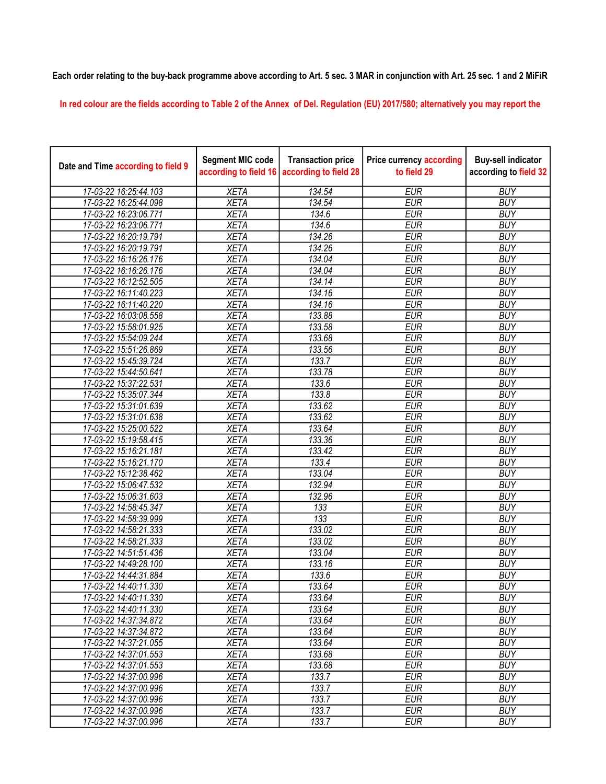## Each order relating to the buy-back programme above according to Art. 5 sec. 3 MAR in conjunction with Art. 25 sec. 1 and 2 MiFiR

In red colour are the fields according to Table 2 of the Annex of Del. Regulation (EU) 2017/580; alternatively you may report the

| Date and Time according to field 9 | <b>Segment MIC code</b><br>according to field 16 | <b>Transaction price</b><br>according to field 28 | <b>Price currency according</b><br>to field 29 | <b>Buy-sell indicator</b><br>according to field 32 |
|------------------------------------|--------------------------------------------------|---------------------------------------------------|------------------------------------------------|----------------------------------------------------|
| 17-03-22 16:25:44.103              | <b>XETA</b>                                      | 134.54                                            | <b>EUR</b>                                     | <b>BUY</b>                                         |
| 17-03-22 16:25:44.098              | <b>XETA</b>                                      | 134.54                                            | <b>EUR</b>                                     | <b>BUY</b>                                         |
| 17-03-22 16:23:06.771              | <b>XETA</b>                                      | 134.6                                             | <b>EUR</b>                                     | <b>BUY</b>                                         |
| 17-03-22 16:23:06.771              | <b>XETA</b>                                      | 134.6                                             | <b>EUR</b>                                     | <b>BUY</b>                                         |
| 17-03-22 16:20:19.791              | <b>XETA</b>                                      | 134.26                                            | <b>EUR</b>                                     | <b>BUY</b>                                         |
| 17-03-22 16:20:19.791              | <b>XETA</b>                                      | 134.26                                            | <b>EUR</b>                                     | <b>BUY</b>                                         |
| 17-03-22 16:16:26.176              | <b>XETA</b>                                      | 134.04                                            | <b>EUR</b>                                     | <b>BUY</b>                                         |
| 17-03-22 16:16:26.176              | <b>XETA</b>                                      | 134.04                                            | <b>EUR</b>                                     | <b>BUY</b>                                         |
| 17-03-22 16:12:52.505              | <b>XETA</b>                                      | 134.14                                            | <b>EUR</b>                                     | <b>BUY</b>                                         |
| 17-03-22 16:11:40.223              | <b>XETA</b>                                      | 134.16                                            | <b>EUR</b>                                     | <b>BUY</b>                                         |
| 17-03-22 16:11:40.220              | <b>XETA</b>                                      | 134.16                                            | <b>EUR</b>                                     | <b>BUY</b>                                         |
| 17-03-22 16:03:08.558              | <b>XETA</b>                                      | 133.88                                            | <b>EUR</b>                                     | <b>BUY</b>                                         |
| 17-03-22 15:58:01.925              | <b>XETA</b>                                      | 133.58                                            | <b>EUR</b>                                     | <b>BUY</b>                                         |
| 17-03-22 15:54:09.244              | <b>XETA</b>                                      | 133.68                                            | <b>EUR</b>                                     | <b>BUY</b>                                         |
| 17-03-22 15:51:26.869              | <b>XETA</b>                                      | 133.56                                            | <b>EUR</b>                                     | <b>BUY</b>                                         |
| 17-03-22 15:45:39.724              | <b>XETA</b>                                      | 133.7                                             | <b>EUR</b>                                     | <b>BUY</b>                                         |
| 17-03-22 15:44:50.641              | <b>XETA</b>                                      | 133.78                                            | <b>EUR</b>                                     | <b>BUY</b>                                         |
| 17-03-22 15:37:22.531              | <b>XETA</b>                                      | 133.6                                             | <b>EUR</b>                                     | <b>BUY</b>                                         |
| 17-03-22 15:35:07.344              | <b>XETA</b>                                      | 133.8                                             | <b>EUR</b>                                     | <b>BUY</b>                                         |
| 17-03-22 15:31:01.639              | <b>XETA</b>                                      | 133.62                                            | <b>EUR</b>                                     | <b>BUY</b>                                         |
| 17-03-22 15:31:01.638              | <b>XETA</b>                                      | 133.62                                            | <b>EUR</b>                                     | <b>BUY</b>                                         |
| 17-03-22 15:25:00.522              | <b>XETA</b>                                      | 133.64                                            | <b>EUR</b>                                     | <b>BUY</b>                                         |
| 17-03-22 15:19:58.415              | <b>XETA</b>                                      | 133.36                                            | <b>EUR</b>                                     | <b>BUY</b>                                         |
| 17-03-22 15:16:21.181              | <b>XETA</b>                                      | 133.42                                            | <b>EUR</b>                                     | <b>BUY</b>                                         |
| 17-03-22 15:16:21.170              | <b>XETA</b>                                      | 133.4                                             | <b>EUR</b>                                     | <b>BUY</b>                                         |
| 17-03-22 15:12:38.462              | <b>XETA</b>                                      | 133.04                                            | <b>EUR</b>                                     | <b>BUY</b>                                         |
| 17-03-22 15:06:47.532              | <b>XETA</b>                                      | 132.94                                            | <b>EUR</b>                                     | <b>BUY</b>                                         |
| 17-03-22 15:06:31.603              | <b>XETA</b>                                      | 132.96                                            | <b>EUR</b>                                     | <b>BUY</b>                                         |
| 17-03-22 14:58:45.347              | <b>XETA</b>                                      | 133                                               | <b>EUR</b>                                     | <b>BUY</b>                                         |
| 17-03-22 14:58:39.999              | <b>XETA</b>                                      | $\overline{133}$                                  | <b>EUR</b>                                     | <b>BUY</b>                                         |
| 17-03-22 14:58:21.333              | <b>XETA</b>                                      | 133.02                                            | <b>EUR</b>                                     | <b>BUY</b>                                         |
| 17-03-22 14:58:21.333              | <b>XETA</b>                                      | 133.02                                            | <b>EUR</b>                                     | <b>BUY</b>                                         |
| 17-03-22 14:51:51.436              | <b>XETA</b>                                      | 133.04                                            | <b>EUR</b>                                     | <b>BUY</b>                                         |
| 17-03-22 14:49:28.100              | <b>XETA</b>                                      | 133.16                                            | <b>EUR</b>                                     | <b>BUY</b>                                         |
| 17-03-22 14:44:31.884              | <b>XETA</b>                                      | 133.6                                             | <b>EUR</b>                                     | <b>BUY</b>                                         |
| 17-03-22 14:40:11.330              | <b>XETA</b>                                      | 133.64                                            | <b>EUR</b>                                     | <b>BUY</b>                                         |
| 17-03-22 14:40:11.330              | <b>XETA</b>                                      | 133.64                                            | <b>EUR</b>                                     | <b>BUY</b>                                         |
| 17-03-22 14:40:11.330              | <b>XETA</b>                                      | 133.64                                            | <b>EUR</b>                                     | <b>BUY</b>                                         |
| 17-03-22 14:37:34.872              | <b>XETA</b>                                      | 133.64                                            | <b>EUR</b>                                     | <b>BUY</b>                                         |
| 17-03-22 14:37:34.872              | <b>XETA</b>                                      | 133.64                                            | <b>EUR</b>                                     | <b>BUY</b>                                         |
| 17-03-22 14:37:21.055              | <b>XETA</b>                                      | 133.64                                            | <b>EUR</b>                                     | <b>BUY</b>                                         |
| 17-03-22 14:37:01.553              | <b>XETA</b>                                      | 133.68                                            | <b>EUR</b>                                     | <b>BUY</b>                                         |
| 17-03-22 14:37:01.553              | <b>XETA</b>                                      | 133.68                                            | <b>EUR</b>                                     | <b>BUY</b>                                         |
| 17-03-22 14:37:00.996              | <b>XETA</b>                                      | 133.7                                             | <b>EUR</b>                                     | <b>BUY</b>                                         |
| 17-03-22 14:37:00.996              | <b>XETA</b>                                      | 133.7                                             | <b>EUR</b>                                     | <b>BUY</b>                                         |
| 17-03-22 14:37:00.996              | <b>XETA</b>                                      | 133.7                                             | <b>EUR</b>                                     | <b>BUY</b>                                         |
| 17-03-22 14:37:00.996              | <b>XETA</b>                                      | 133.7                                             | <b>EUR</b>                                     | <b>BUY</b>                                         |
| 17-03-22 14:37:00.996              | <b>XETA</b>                                      | 133.7                                             | <b>EUR</b>                                     | <b>BUY</b>                                         |